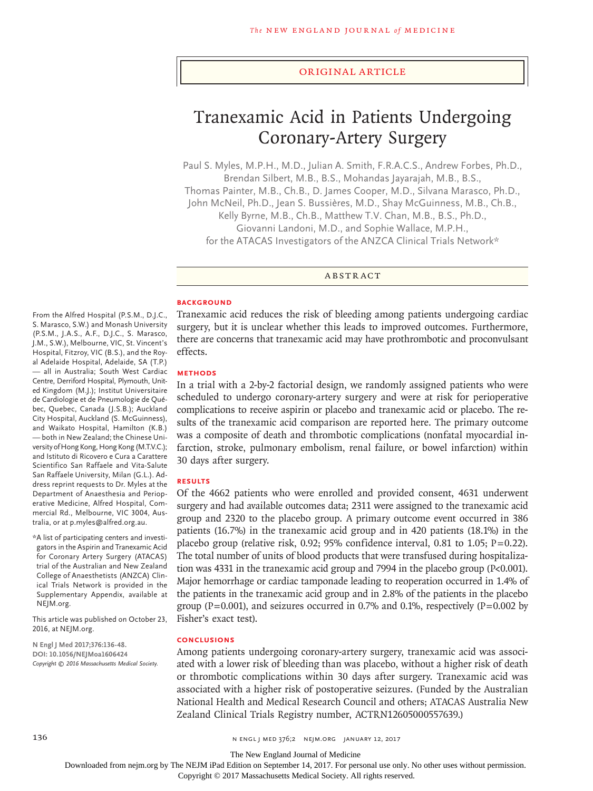### Original Article

# Tranexamic Acid in Patients Undergoing Coronary-Artery Surgery

Paul S. Myles, M.P.H., M.D., Julian A. Smith, F.R.A.C.S., Andrew Forbes, Ph.D., Brendan Silbert, M.B., B.S., Mohandas Jayarajah, M.B., B.S., Thomas Painter, M.B., Ch.B., D. James Cooper, M.D., Silvana Marasco, Ph.D.,

John McNeil, Ph.D., Jean S. Bussières, M.D., Shay McGuinness, M.B., Ch.B.,

Kelly Byrne, M.B., Ch.B., Matthew T.V. Chan, M.B., B.S., Ph.D.,

Giovanni Landoni, M.D., and Sophie Wallace, M.P.H.,

for the ATACAS Investigators of the ANZCA Clinical Trials Network\*

ABSTRACT

#### **BACKGROUND**

Tranexamic acid reduces the risk of bleeding among patients undergoing cardiac surgery, but it is unclear whether this leads to improved outcomes. Furthermore, there are concerns that tranexamic acid may have prothrombotic and proconvulsant effects.

## **METHODS**

In a trial with a 2-by-2 factorial design, we randomly assigned patients who were scheduled to undergo coronary-artery surgery and were at risk for perioperative complications to receive aspirin or placebo and tranexamic acid or placebo. The results of the tranexamic acid comparison are reported here. The primary outcome was a composite of death and thrombotic complications (nonfatal myocardial infarction, stroke, pulmonary embolism, renal failure, or bowel infarction) within 30 days after surgery.

# **RESULTS**

Of the 4662 patients who were enrolled and provided consent, 4631 underwent surgery and had available outcomes data; 2311 were assigned to the tranexamic acid group and 2320 to the placebo group. A primary outcome event occurred in 386 patients (16.7%) in the tranexamic acid group and in 420 patients (18.1%) in the placebo group (relative risk, 0.92; 95% confidence interval, 0.81 to 1.05;  $P=0.22$ ). The total number of units of blood products that were transfused during hospitalization was 4331 in the tranexamic acid group and 7994 in the placebo group (P<0.001). Major hemorrhage or cardiac tamponade leading to reoperation occurred in 1.4% of the patients in the tranexamic acid group and in 2.8% of the patients in the placebo group (P=0.001), and seizures occurred in 0.7% and 0.1%, respectively (P=0.002 by Fisher's exact test).

#### **CONCLUSIONS**

Among patients undergoing coronary-artery surgery, tranexamic acid was associated with a lower risk of bleeding than was placebo, without a higher risk of death or thrombotic complications within 30 days after surgery. Tranexamic acid was associated with a higher risk of postoperative seizures. (Funded by the Australian National Health and Medical Research Council and others; ATACAS Australia New Zealand Clinical Trials Registry number, ACTRN12605000557639.)

From the Alfred Hospital (P.S.M., D.J.C., S. Marasco, S.W.) and Monash University (P.S.M., J.A.S., A.F., D.J.C., S. Marasco, J.M., S.W.), Melbourne, VIC, St. Vincent's Hospital, Fitzroy, VIC (B.S.), and the Royal Adelaide Hospital, Adelaide, SA (T.P.) — all in Australia; South West Cardiac Centre, Derriford Hospital, Plymouth, United Kingdom (M.J.); Institut Universitaire de Cardiologie et de Pneumologie de Québec, Quebec, Canada (J.S.B.); Auckland City Hospital, Auckland (S. McGuinness), and Waikato Hospital, Hamilton (K.B.) — both in New Zealand; the Chinese University of Hong Kong, Hong Kong (M.T.V.C.); and Istituto di Ricovero e Cura a Carattere Scientifico San Raffaele and Vita-Salute San Raffaele University, Milan (G.L.). Address reprint requests to Dr. Myles at the Department of Anaesthesia and Perioperative Medicine, Alfred Hospital, Commercial Rd., Melbourne, VIC 3004, Australia, or at p.myles@alfred.org.au.

\*A list of participating centers and investigators in the Aspirin and Tranexamic Acid for Coronary Artery Surgery (ATACAS) trial of the Australian and New Zealand College of Anaesthetists (ANZCA) Clinical Trials Network is provided in the Supplementary Appendix, available at NEJM.org.

This article was published on October 23, 2016, at NEJM.org.

**N Engl J Med 2017;376:136-48. DOI: 10.1056/NEJMoa1606424** *Copyright © 2016 Massachusetts Medical Society.*

The New England Journal of Medicine

Downloaded from nejm.org by The NEJM iPad Edition on September 14, 2017. For personal use only. No other uses without permission.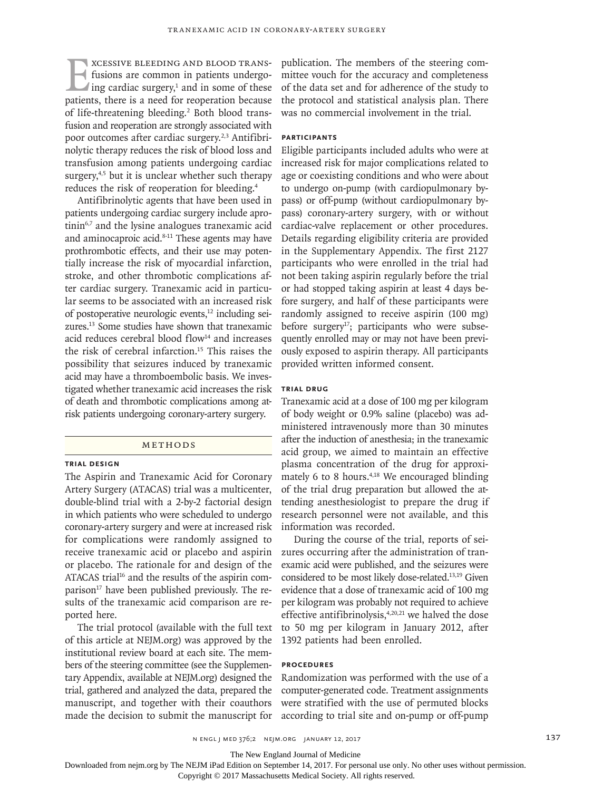EXCESSIVE BLEEDING AND BLOOD TRANS-<br>fusions are common in patients undergo-<br>ing cardiac surgery,<sup>1</sup> and in some of these<br>patients, there is a need for reoperation because fusions are common in patients undergoing cardiac surgery,<sup>1</sup> and in some of these patients, there is a need for reoperation because of life-threatening bleeding.<sup>2</sup> Both blood transfusion and reoperation are strongly associated with poor outcomes after cardiac surgery.<sup>2,3</sup> Antifibrinolytic therapy reduces the risk of blood loss and transfusion among patients undergoing cardiac surgery,<sup>4,5</sup> but it is unclear whether such therapy reduces the risk of reoperation for bleeding.4

Antifibrinolytic agents that have been used in patients undergoing cardiac surgery include aprotinin<sup>6,7</sup> and the lysine analogues tranexamic acid and aminocaproic acid.<sup>8-11</sup> These agents may have prothrombotic effects, and their use may potentially increase the risk of myocardial infarction, stroke, and other thrombotic complications after cardiac surgery. Tranexamic acid in particular seems to be associated with an increased risk of postoperative neurologic events,12 including seizures.13 Some studies have shown that tranexamic acid reduces cerebral blood flow<sup>14</sup> and increases the risk of cerebral infarction.15 This raises the possibility that seizures induced by tranexamic acid may have a thromboembolic basis. We investigated whether tranexamic acid increases the risk of death and thrombotic complications among atrisk patients undergoing coronary-artery surgery.

# Methods

# **Trial Design**

The Aspirin and Tranexamic Acid for Coronary Artery Surgery (ATACAS) trial was a multicenter, double-blind trial with a 2-by-2 factorial design in which patients who were scheduled to undergo coronary-artery surgery and were at increased risk for complications were randomly assigned to receive tranexamic acid or placebo and aspirin or placebo. The rationale for and design of the ATACAS trial<sup>16</sup> and the results of the aspirin comparison $17$  have been published previously. The results of the tranexamic acid comparison are reported here.

The trial protocol (available with the full text of this article at NEJM.org) was approved by the institutional review board at each site. The members of the steering committee (see the Supplementary Appendix, available at NEJM.org) designed the trial, gathered and analyzed the data, prepared the manuscript, and together with their coauthors made the decision to submit the manuscript for

publication. The members of the steering committee vouch for the accuracy and completeness of the data set and for adherence of the study to the protocol and statistical analysis plan. There was no commercial involvement in the trial.

# **Participants**

Eligible participants included adults who were at increased risk for major complications related to age or coexisting conditions and who were about to undergo on-pump (with cardiopulmonary bypass) or off-pump (without cardiopulmonary bypass) coronary-artery surgery, with or without cardiac-valve replacement or other procedures. Details regarding eligibility criteria are provided in the Supplementary Appendix. The first 2127 participants who were enrolled in the trial had not been taking aspirin regularly before the trial or had stopped taking aspirin at least 4 days before surgery, and half of these participants were randomly assigned to receive aspirin (100 mg) before surgery<sup>17</sup>; participants who were subsequently enrolled may or may not have been previously exposed to aspirin therapy. All participants provided written informed consent.

# **Trial Drug**

Tranexamic acid at a dose of 100 mg per kilogram of body weight or 0.9% saline (placebo) was administered intravenously more than 30 minutes after the induction of anesthesia; in the tranexamic acid group, we aimed to maintain an effective plasma concentration of the drug for approximately 6 to 8 hours.<sup>4,18</sup> We encouraged blinding of the trial drug preparation but allowed the attending anesthesiologist to prepare the drug if research personnel were not available, and this information was recorded.

During the course of the trial, reports of seizures occurring after the administration of tranexamic acid were published, and the seizures were considered to be most likely dose-related.13,19 Given evidence that a dose of tranexamic acid of 100 mg per kilogram was probably not required to achieve effective antifibrinolysis,<sup>4,20,21</sup> we halved the dose to 50 mg per kilogram in January 2012, after 1392 patients had been enrolled.

# **Procedures**

Randomization was performed with the use of a computer-generated code. Treatment assignments were stratified with the use of permuted blocks according to trial site and on-pump or off-pump

n engl j med 376;2 nejm.org January 12, 2017 137

The New England Journal of Medicine

Downloaded from nejm.org by The NEJM iPad Edition on September 14, 2017. For personal use only. No other uses without permission.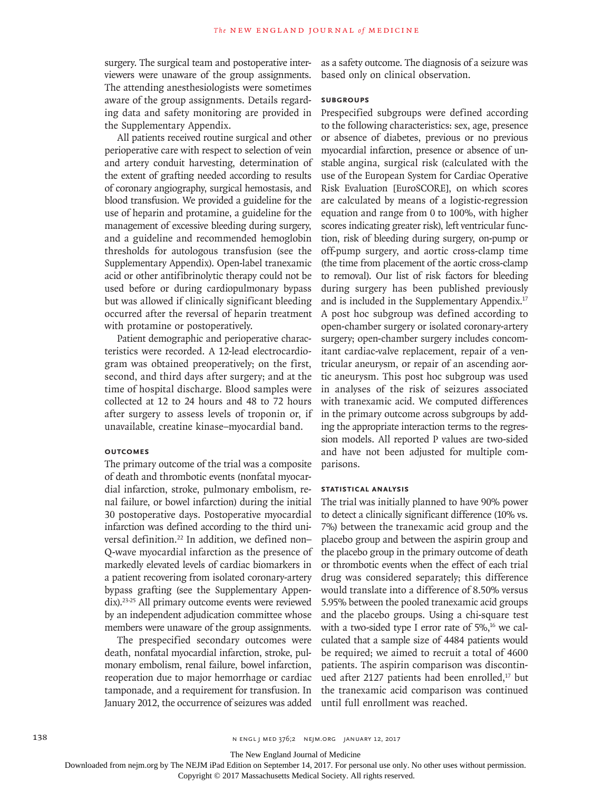surgery. The surgical team and postoperative interviewers were unaware of the group assignments. The attending anesthesiologists were sometimes aware of the group assignments. Details regarding data and safety monitoring are provided in the Supplementary Appendix.

All patients received routine surgical and other perioperative care with respect to selection of vein and artery conduit harvesting, determination of the extent of grafting needed according to results of coronary angiography, surgical hemostasis, and blood transfusion. We provided a guideline for the use of heparin and protamine, a guideline for the management of excessive bleeding during surgery, and a guideline and recommended hemoglobin thresholds for autologous transfusion (see the Supplementary Appendix). Open-label tranexamic acid or other antifibrinolytic therapy could not be used before or during cardiopulmonary bypass but was allowed if clinically significant bleeding occurred after the reversal of heparin treatment with protamine or postoperatively.

Patient demographic and perioperative characteristics were recorded. A 12-lead electrocardiogram was obtained preoperatively; on the first, second, and third days after surgery; and at the time of hospital discharge. Blood samples were collected at 12 to 24 hours and 48 to 72 hours after surgery to assess levels of troponin or, if unavailable, creatine kinase–myocardial band.

# **Outcomes**

The primary outcome of the trial was a composite of death and thrombotic events (nonfatal myocardial infarction, stroke, pulmonary embolism, renal failure, or bowel infarction) during the initial 30 postoperative days. Postoperative myocardial infarction was defined according to the third universal definition.<sup>22</sup> In addition, we defined non-Q-wave myocardial infarction as the presence of markedly elevated levels of cardiac biomarkers in a patient recovering from isolated coronary-artery bypass grafting (see the Supplementary Appendix).23-25 All primary outcome events were reviewed by an independent adjudication committee whose members were unaware of the group assignments.

The prespecified secondary outcomes were death, nonfatal myocardial infarction, stroke, pulmonary embolism, renal failure, bowel infarction, reoperation due to major hemorrhage or cardiac tamponade, and a requirement for transfusion. In January 2012, the occurrence of seizures was added as a safety outcome. The diagnosis of a seizure was based only on clinical observation.

### **Subgroups**

Prespecified subgroups were defined according to the following characteristics: sex, age, presence or absence of diabetes, previous or no previous myocardial infarction, presence or absence of unstable angina, surgical risk (calculated with the use of the European System for Cardiac Operative Risk Evaluation [EuroSCORE], on which scores are calculated by means of a logistic-regression equation and range from 0 to 100%, with higher scores indicating greater risk), left ventricular function, risk of bleeding during surgery, on-pump or off-pump surgery, and aortic cross-clamp time (the time from placement of the aortic cross-clamp to removal). Our list of risk factors for bleeding during surgery has been published previously and is included in the Supplementary Appendix.17 A post hoc subgroup was defined according to open-chamber surgery or isolated coronary-artery surgery; open-chamber surgery includes concomitant cardiac-valve replacement, repair of a ventricular aneurysm, or repair of an ascending aortic aneurysm. This post hoc subgroup was used in analyses of the risk of seizures associated with tranexamic acid. We computed differences in the primary outcome across subgroups by adding the appropriate interaction terms to the regression models. All reported P values are two-sided and have not been adjusted for multiple comparisons.

### **Statistical Analysis**

The trial was initially planned to have 90% power to detect a clinically significant difference (10% vs. 7%) between the tranexamic acid group and the placebo group and between the aspirin group and the placebo group in the primary outcome of death or thrombotic events when the effect of each trial drug was considered separately; this difference would translate into a difference of 8.50% versus 5.95% between the pooled tranexamic acid groups and the placebo groups. Using a chi-square test with a two-sided type I error rate of  $5\%$ ,<sup>16</sup> we calculated that a sample size of 4484 patients would be required; we aimed to recruit a total of 4600 patients. The aspirin comparison was discontinued after 2127 patients had been enrolled,<sup>17</sup> but the tranexamic acid comparison was continued until full enrollment was reached.

138 **138** N ENGL J MED 376;2 NEJM.ORG JANUARY 12, 2017

The New England Journal of Medicine

Downloaded from nejm.org by The NEJM iPad Edition on September 14, 2017. For personal use only. No other uses without permission.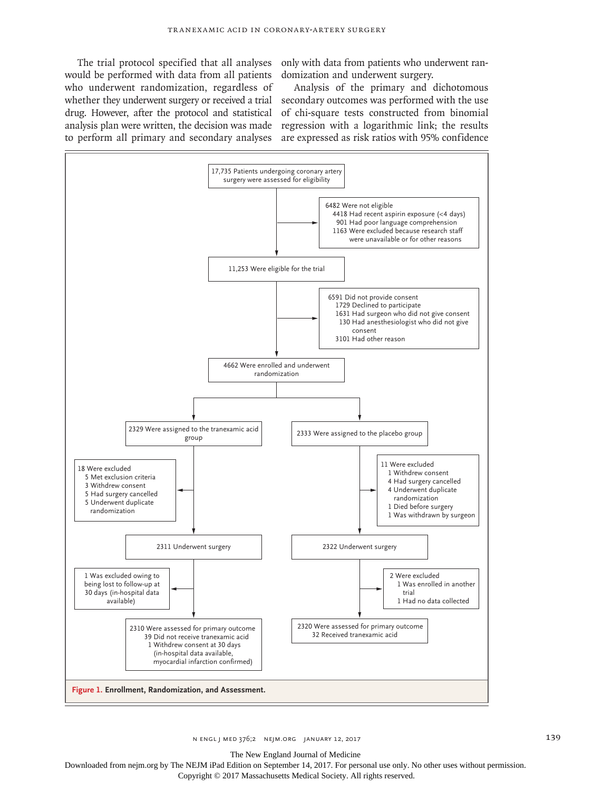would be performed with data from all patients who underwent randomization, regardless of whether they underwent surgery or received a trial drug. However, after the protocol and statistical

The trial protocol specified that all analyses only with data from patients who underwent randomization and underwent surgery.

analysis plan were written, the decision was made regression with a logarithmic link; the results to perform all primary and secondary analyses are expressed as risk ratios with 95% confidence Analysis of the primary and dichotomous secondary outcomes was performed with the use of chi-square tests constructed from binomial



The New England Journal of Medicine

Downloaded from nejm.org by The NEJM iPad Edition on September 14, 2017. For personal use only. No other uses without permission. Copyright © 2017 Massachusetts Medical Society. All rights reserved.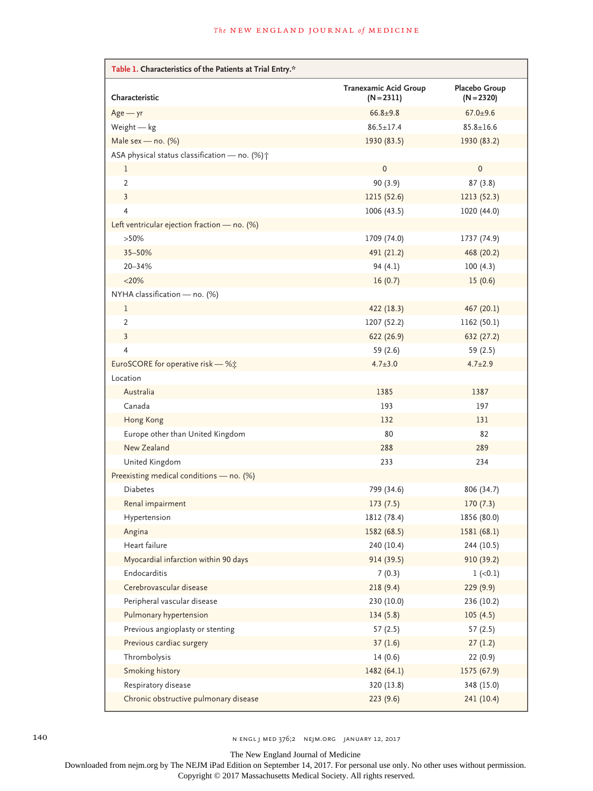| Table 1. Characteristics of the Patients at Trial Entry.* |                                       |                               |
|-----------------------------------------------------------|---------------------------------------|-------------------------------|
| Characteristic                                            | Tranexamic Acid Group<br>$(N = 2311)$ | Placebo Group<br>$(N = 2320)$ |
| $Age - yr$                                                | $66.8 + 9.8$                          | $67.0 + 9.6$                  |
| Weight $-$ kg                                             | $86.5 \pm 17.4$                       | $85.8 \pm 16.6$               |
| Male sex - no. $(\%)$                                     | 1930 (83.5)                           | 1930 (83.2)                   |
| ASA physical status classification - no. (%) +            |                                       |                               |
| 1                                                         | $\pmb{0}$                             | $\pmb{0}$                     |
| $\overline{2}$                                            | 90(3.9)                               | 87(3.8)                       |
| $\overline{3}$                                            | 1215 (52.6)                           | 1213 (52.3)                   |
| $\overline{4}$                                            | 1006 (43.5)                           | 1020 (44.0)                   |
| Left ventricular ejection fraction $-$ no. (%)            |                                       |                               |
| $>50\%$                                                   | 1709 (74.0)                           | 1737 (74.9)                   |
| 35-50%                                                    | 491 (21.2)                            | 468 (20.2)                    |
| 20-34%                                                    | 94(4.1)                               | 100(4.3)                      |
| $<$ 20%                                                   | 16(0.7)                               | 15(0.6)                       |
| NYHA classification - no. (%)                             |                                       |                               |
| 1                                                         | 422 (18.3)                            | 467 (20.1)                    |
| $\overline{2}$                                            | 1207 (52.2)                           | 1162 (50.1)                   |
| $\overline{3}$                                            | 622 (26.9)                            | 632 (27.2)                    |
| $\overline{4}$                                            | 59 (2.6)                              | 59(2.5)                       |
| EuroSCORE for operative risk - %;                         | $4.7 \pm 3.0$                         | $4.7 \pm 2.9$                 |
| Location                                                  |                                       |                               |
| Australia                                                 | 1385                                  | 1387                          |
| Canada                                                    | 193                                   | 197                           |
| Hong Kong                                                 | 132                                   | 131                           |
| Europe other than United Kingdom                          | 80                                    | 82                            |
| New Zealand                                               | 288                                   | 289                           |
| United Kingdom                                            | 233                                   | 234                           |
| Preexisting medical conditions - no. (%)                  |                                       |                               |
| <b>Diabetes</b>                                           | 799 (34.6)                            | 806 (34.7)                    |
| Renal impairment                                          | 173(7.5)                              | 170(7.3)                      |
| Hypertension                                              | 1812 (78.4)                           | 1856 (80.0)                   |
| Angina                                                    | 1582 (68.5)                           | 1581 (68.1)                   |
| Heart failure                                             | 240 (10.4)                            | 244 (10.5)                    |
| Myocardial infarction within 90 days                      | 914 (39.5)                            | 910 (39.2)                    |
| Endocarditis                                              | 7(0.3)                                | $1 (-0.1)$                    |
| Cerebrovascular disease                                   | 218(9.4)                              | 229(9.9)                      |
| Peripheral vascular disease                               | 230 (10.0)                            | 236 (10.2)                    |
| Pulmonary hypertension                                    | 134(5.8)                              | 105(4.5)                      |
| Previous angioplasty or stenting                          | 57(2.5)                               | 57(2.5)                       |
| Previous cardiac surgery                                  | 37(1.6)                               | 27(1.2)                       |
| Thrombolysis                                              | 14(0.6)                               | 22(0.9)                       |
| Smoking history                                           | 1482 (64.1)                           | 1575 (67.9)                   |
| Respiratory disease                                       | 320 (13.8)                            | 348 (15.0)                    |
| Chronic obstructive pulmonary disease                     | 223(9.6)                              | 241(10.4)                     |

140 N ENGL J MED 376;2 NEJM.ORG JANUARY 12, 2017

The New England Journal of Medicine

Downloaded from nejm.org by The NEJM iPad Edition on September 14, 2017. For personal use only. No other uses without permission.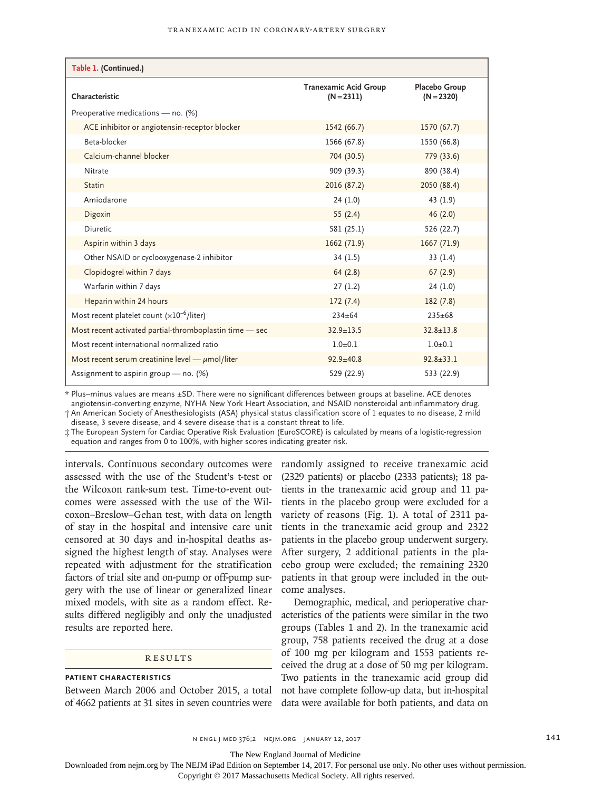| Table 1. (Continued.)                                   |                                              |                               |
|---------------------------------------------------------|----------------------------------------------|-------------------------------|
| Characteristic                                          | <b>Tranexamic Acid Group</b><br>$(N = 2311)$ | Placebo Group<br>$(N = 2320)$ |
| Preoperative medications - no. (%)                      |                                              |                               |
| ACE inhibitor or angiotensin-receptor blocker           | 1542 (66.7)                                  | 1570 (67.7)                   |
| Beta-blocker                                            | 1566 (67.8)                                  | 1550 (66.8)                   |
| Calcium-channel blocker                                 | 704 (30.5)                                   | 779 (33.6)                    |
| Nitrate                                                 | 909 (39.3)                                   | 890 (38.4)                    |
| <b>Statin</b>                                           | 2016 (87.2)                                  | 2050 (88.4)                   |
| Amiodarone                                              | 24(1.0)                                      | 43 (1.9)                      |
| Digoxin                                                 | 55(2.4)                                      | 46(2.0)                       |
| Diuretic                                                | 581 (25.1)                                   | 526 (22.7)                    |
| Aspirin within 3 days                                   | 1662 (71.9)                                  | 1667(71.9)                    |
| Other NSAID or cyclooxygenase-2 inhibitor               | 34(1.5)                                      | 33(1.4)                       |
| Clopidogrel within 7 days                               | 64(2.8)                                      | 67(2.9)                       |
| Warfarin within 7 days                                  | 27(1.2)                                      | 24(1.0)                       |
| Heparin within 24 hours                                 | 172(7.4)                                     | 182(7.8)                      |
| Most recent platelet count $(x10^{-6}/$ liter)          | $234 + 64$                                   | $235 \pm 68$                  |
| Most recent activated partial-thromboplastin time - sec | $32.9 + 13.5$                                | $32.8 \pm 13.8$               |
| Most recent international normalized ratio              | $1.0 + 0.1$                                  | $1.0 + 0.1$                   |
| Most recent serum creatinine level $-\mu$ mol/liter     | $92.9 \pm 40.8$                              | $92.8 + 33.1$                 |
| Assignment to aspirin group $-$ no. (%)                 | 529 (22.9)                                   | 533 (22.9)                    |

\* Plus–minus values are means ±SD. There were no significant differences between groups at baseline. ACE denotes angiotensin-converting enzyme, NYHA New York Heart Association, and NSAID nonsteroidal antiinflammatory drug. † An American Society of Anesthesiologists (ASA) physical status classification score of 1 equates to no disease, 2 mild disease, 3 severe disease, and 4 severe disease that is a constant threat to life.

‡ The European System for Cardiac Operative Risk Evaluation (EuroSCORE) is calculated by means of a logistic-regression equation and ranges from 0 to 100%, with higher scores indicating greater risk.

assessed with the use of the Student's t-test or the Wilcoxon rank-sum test. Time-to-event outcomes were assessed with the use of the Wilcoxon–Breslow–Gehan test, with data on length of stay in the hospital and intensive care unit censored at 30 days and in-hospital deaths assigned the highest length of stay. Analyses were repeated with adjustment for the stratification factors of trial site and on-pump or off-pump surgery with the use of linear or generalized linear mixed models, with site as a random effect. Results differed negligibly and only the unadjusted results are reported here.

# **RESULTS**

# **Patient Characteristics**

intervals. Continuous secondary outcomes were randomly assigned to receive tranexamic acid (2329 patients) or placebo (2333 patients); 18 patients in the tranexamic acid group and 11 patients in the placebo group were excluded for a variety of reasons (Fig. 1). A total of 2311 patients in the tranexamic acid group and 2322 patients in the placebo group underwent surgery. After surgery, 2 additional patients in the placebo group were excluded; the remaining 2320 patients in that group were included in the outcome analyses.

Between March 2006 and October 2015, a total not have complete follow-up data, but in-hospital of 4662 patients at 31 sites in seven countries were data were available for both patients, and data on Demographic, medical, and perioperative characteristics of the patients were similar in the two groups (Tables 1 and 2). In the tranexamic acid group, 758 patients received the drug at a dose of 100 mg per kilogram and 1553 patients received the drug at a dose of 50 mg per kilogram. Two patients in the tranexamic acid group did

The New England Journal of Medicine

Downloaded from nejm.org by The NEJM iPad Edition on September 14, 2017. For personal use only. No other uses without permission.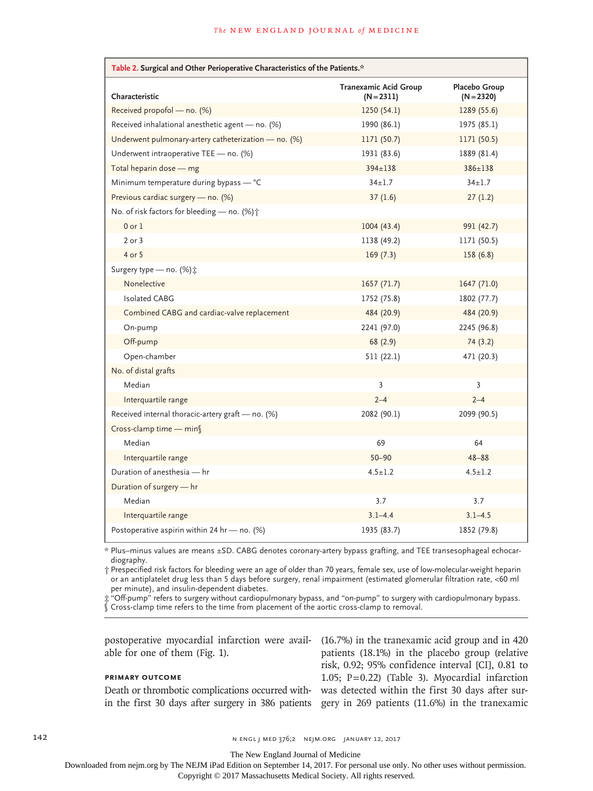| Table 2. Surgical and Other Perioperative Characteristics of the Patients.* |                                              |                               |
|-----------------------------------------------------------------------------|----------------------------------------------|-------------------------------|
| Characteristic                                                              | <b>Tranexamic Acid Group</b><br>$(N = 2311)$ | Placebo Group<br>$(N = 2320)$ |
| Received propofol - no. (%)                                                 | 1250(54.1)                                   | 1289 (55.6)                   |
| Received inhalational anesthetic agent - no. (%)                            | 1990 (86.1)                                  | 1975 (85.1)                   |
| Underwent pulmonary-artery catheterization - no. (%)                        | 1171 (50.7)                                  | 1171 (50.5)                   |
| Underwent intraoperative TEE - no. (%)                                      | 1931 (83.6)                                  | 1889 (81.4)                   |
| Total heparin dose - mg                                                     | $394 \pm 138$                                | 386±138                       |
| Minimum temperature during bypass - °C                                      | $34 \pm 1.7$                                 | $34 \pm 1.7$                  |
| Previous cardiac surgery - no. (%)                                          | 37(1.6)                                      | 27(1.2)                       |
| No. of risk factors for bleeding - no. (%);                                 |                                              |                               |
| $0$ or $1$                                                                  | 1004(43.4)                                   | 991 (42.7)                    |
| $2$ or $3$                                                                  | 1138 (49.2)                                  | 1171 (50.5)                   |
| 4 or 5                                                                      | 169(7.3)                                     | 158 (6.8)                     |
| Surgery type - no. (%) :                                                    |                                              |                               |
| Nonelective                                                                 | 1657(71.7)                                   | 1647 (71.0)                   |
| <b>Isolated CABG</b>                                                        | 1752 (75.8)                                  | 1802 (77.7)                   |
| Combined CABG and cardiac-valve replacement                                 | 484 (20.9)                                   | 484 (20.9)                    |
| On-pump                                                                     | 2241 (97.0)                                  | 2245 (96.8)                   |
| Off-pump                                                                    | 68(2.9)                                      | 74(3.2)                       |
| Open-chamber                                                                | 511(22.1)                                    | 471 (20.3)                    |
| No. of distal grafts                                                        |                                              |                               |
| Median                                                                      | 3                                            | 3                             |
| Interquartile range                                                         | $2 - 4$                                      | $2 - 4$                       |
| Received internal thoracic-artery graft - no. (%)                           | 2082 (90.1)                                  | 2099 (90.5)                   |
| Cross-clamp time - min                                                      |                                              |                               |
| Median                                                                      | 69                                           | 64                            |
| Interquartile range                                                         | $50 - 90$                                    | $48 - 88$                     |
| Duration of anesthesia - hr                                                 | $4.5 \pm 1.2$                                | $4.5 \pm 1.2$                 |
| Duration of surgery - hr                                                    |                                              |                               |
| Median                                                                      | 3.7                                          | 3.7                           |
| Interquartile range                                                         | $3.1 - 4.4$                                  | $3.1 - 4.5$                   |
| Postoperative aspirin within 24 hr — no. $(\%)$                             | 1935 (83.7)                                  | 1852 (79.8)                   |

\* Plus–minus values are means ±SD. CABG denotes coronary-artery bypass grafting, and TEE transesophageal echocardiography.

† Prespecified risk factors for bleeding were an age of older than 70 years, female sex, use of low-molecular-weight heparin or an antiplatelet drug less than 5 days before surgery, renal impairment (estimated glomerular filtration rate, <60 ml per minute), and insulin-dependent diabetes.

‡ "Off-pump" refers to surgery without cardiopulmonary bypass, and "on-pump" to surgery with cardiopulmonary bypass. § Cross-clamp time refers to the time from placement of the aortic cross-clamp to removal.

able for one of them (Fig. 1).

# **Primary Outcome**

postoperative myocardial infarction were avail-(16.7%) in the tranexamic acid group and in 420 Death or thrombotic complications occurred with-was detected within the first 30 days after surin the first 30 days after surgery in 386 patients gery in 269 patients (11.6%) in the tranexamic patients (18.1%) in the placebo group (relative risk, 0.92; 95% confidence interval [CI], 0.81 to 1.05; P=0.22) (Table 3). Myocardial infarction

142 **n engl j med 376;2 nejm.org January 12, 2017** 

The New England Journal of Medicine

Downloaded from nejm.org by The NEJM iPad Edition on September 14, 2017. For personal use only. No other uses without permission.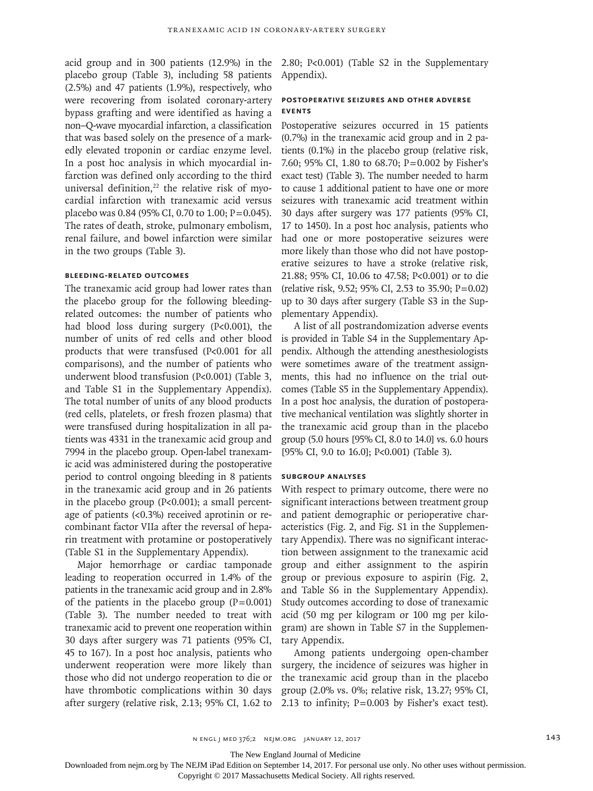acid group and in 300 patients (12.9%) in the placebo group (Table 3), including 58 patients (2.5%) and 47 patients (1.9%), respectively, who were recovering from isolated coronary-artery bypass grafting and were identified as having a non–Q-wave myocardial infarction, a classification that was based solely on the presence of a markedly elevated troponin or cardiac enzyme level. In a post hoc analysis in which myocardial infarction was defined only according to the third universal definition, $22$  the relative risk of myocardial infarction with tranexamic acid versus placebo was 0.84 (95% CI, 0.70 to 1.00; P=0.045). The rates of death, stroke, pulmonary embolism, renal failure, and bowel infarction were similar in the two groups (Table 3).

# **Bleeding-Related Outcomes**

The tranexamic acid group had lower rates than the placebo group for the following bleedingrelated outcomes: the number of patients who had blood loss during surgery (P<0.001), the number of units of red cells and other blood products that were transfused (P<0.001 for all comparisons), and the number of patients who underwent blood transfusion (P<0.001) (Table 3, and Table S1 in the Supplementary Appendix). The total number of units of any blood products (red cells, platelets, or fresh frozen plasma) that were transfused during hospitalization in all patients was 4331 in the tranexamic acid group and 7994 in the placebo group. Open-label tranexamic acid was administered during the postoperative period to control ongoing bleeding in 8 patients in the tranexamic acid group and in 26 patients in the placebo group ( $P<0.001$ ); a small percentage of patients (<0.3%) received aprotinin or recombinant factor VIIa after the reversal of heparin treatment with protamine or postoperatively (Table S1 in the Supplementary Appendix).

Major hemorrhage or cardiac tamponade leading to reoperation occurred in 1.4% of the patients in the tranexamic acid group and in 2.8% of the patients in the placebo group  $(P=0.001)$ (Table 3). The number needed to treat with tranexamic acid to prevent one reoperation within 30 days after surgery was 71 patients (95% CI, 45 to 167). In a post hoc analysis, patients who underwent reoperation were more likely than those who did not undergo reoperation to die or have thrombotic complications within 30 days after surgery (relative risk, 2.13; 95% CI, 1.62 to 2.80; P<0.001) (Table S2 in the Supplementary Appendix).

# **Postoperative Seizures and Other Adverse Events**

Postoperative seizures occurred in 15 patients (0.7%) in the tranexamic acid group and in 2 patients (0.1%) in the placebo group (relative risk, 7.60; 95% CI, 1.80 to 68.70; P=0.002 by Fisher's exact test) (Table 3). The number needed to harm to cause 1 additional patient to have one or more seizures with tranexamic acid treatment within 30 days after surgery was 177 patients (95% CI, 17 to 1450). In a post hoc analysis, patients who had one or more postoperative seizures were more likely than those who did not have postoperative seizures to have a stroke (relative risk, 21.88; 95% CI, 10.06 to 47.58; P<0.001) or to die (relative risk, 9.52; 95% CI, 2.53 to 35.90; P=0.02) up to 30 days after surgery (Table S3 in the Supplementary Appendix).

A list of all postrandomization adverse events is provided in Table S4 in the Supplementary Appendix. Although the attending anesthesiologists were sometimes aware of the treatment assignments, this had no influence on the trial outcomes (Table S5 in the Supplementary Appendix). In a post hoc analysis, the duration of postoperative mechanical ventilation was slightly shorter in the tranexamic acid group than in the placebo group (5.0 hours [95% CI, 8.0 to 14.0] vs. 6.0 hours [95% CI, 9.0 to 16.0]; P<0.001) (Table 3).

#### **Subgroup Analyses**

With respect to primary outcome, there were no significant interactions between treatment group and patient demographic or perioperative characteristics (Fig. 2, and Fig. S1 in the Supplementary Appendix). There was no significant interaction between assignment to the tranexamic acid group and either assignment to the aspirin group or previous exposure to aspirin (Fig. 2, and Table S6 in the Supplementary Appendix). Study outcomes according to dose of tranexamic acid (50 mg per kilogram or 100 mg per kilogram) are shown in Table S7 in the Supplementary Appendix.

Among patients undergoing open-chamber surgery, the incidence of seizures was higher in the tranexamic acid group than in the placebo group (2.0% vs. 0%; relative risk, 13.27; 95% CI, 2.13 to infinity; P=0.003 by Fisher's exact test).

The New England Journal of Medicine

Downloaded from nejm.org by The NEJM iPad Edition on September 14, 2017. For personal use only. No other uses without permission.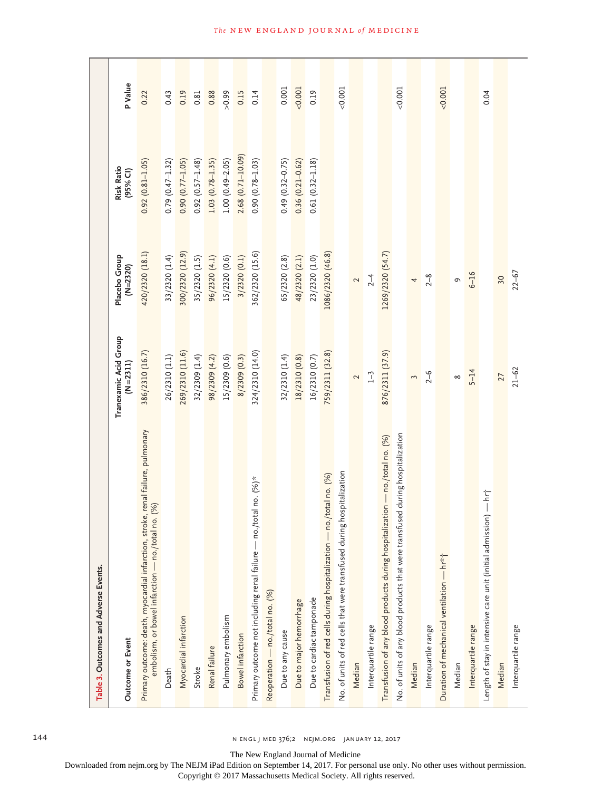| Table 3. Outcomes and Adverse Events.                                                                                                |                                     |                           |                         |                |
|--------------------------------------------------------------------------------------------------------------------------------------|-------------------------------------|---------------------------|-------------------------|----------------|
| <b>Outcome or Event</b>                                                                                                              | Tranexamic Acid Group<br>(N = 2311) | Placebo Group<br>(N=2320) | Risk Ratio<br>(95% Cl)  | <b>P</b> Value |
| Primary outcome: death, myocardial infarction, stroke, renal failure, pulmonary<br>embolism, or bowel infarction - no./total no. (%) | 386/2310 (16.7)                     | 420/2320 (18.1)           | $0.92(0.81 - 1.05)$     | 0.22           |
| Death                                                                                                                                | 26/2310 (1.1)                       | 33/2320 (1.4)             | $0.79(0.47 - 1.32)$     | 0.43           |
| Myocardial infarction                                                                                                                | 269/2310 (11.6)                     | 300/2320 (12.9)           | $0.90(0.77 - 1.05)$     | 0.19           |
| Stroke                                                                                                                               | 32/2309 (1.4)                       | 35/2320 (1.5)             | $0.92(0.57 - 1.48)$     | 0.81           |
| Renal failure                                                                                                                        | 98/2309 (4.2)                       | 96/2320 (4.1)             | $1.03(0.78 - 1.35)$     | 0.88           |
| Pulmonary embolism                                                                                                                   | 15/2309 (0.6)                       | 15/2320 (0.6)             | $1.00(0.49 - 2.05)$     | 66.0 <         |
| Bowel infarction                                                                                                                     | 8/2309 (0.3)                        | 3/2320 (0.1)              | $2.68$ $(0.71 - 10.09)$ | 0.15           |
| Primary outcome not including renal failure — no./total no. (%)*                                                                     | 324/2310 (14.0)                     | 362/2320 (15.6)           | $0.90(0.78 - 1.03)$     | 0.14           |
| Reoperation - no./total no. (%)                                                                                                      |                                     |                           |                         |                |
| Due to any cause                                                                                                                     | 32/2310 (1.4)                       | 65/2320 (2.8)             | $0.49(0.32 - 0.75)$     | 0.001          |
| Due to major hemorrhage                                                                                                              | 18/2310 (0.8)                       | 48/2320 (2.1)             | $0.36(0.21 - 0.62)$     | 0.001          |
| Due to cardiac tamponade                                                                                                             | 16/2310 (0.7)                       | 23/2320 (1.0)             | $0.61(0.32 - 1.18)$     | 0.19           |
| Transfusion of red cells during hospitalization - no./total no. (%)                                                                  | 759/2311 (32.8)                     | 1086/2320 (46.8)          |                         |                |
| No. of units of red cells that were transfused during hospitalization                                                                |                                     |                           |                         | 0.001          |
| Median                                                                                                                               | $\sim$                              | $\sim$                    |                         |                |
| Interquartile range                                                                                                                  | $1 - 3$                             | $2 - 4$                   |                         |                |
| Transfusion of any blood products during hospitalization - no./total no. (%)                                                         | 876/2311 (37.9)                     | 1269/2320 (54.7)          |                         |                |
| No. of units of any blood products that were transfused during hospitalization                                                       |                                     |                           |                         | 0.001          |
| Median                                                                                                                               | $\tilde{\phantom{a}}$               | 4                         |                         |                |
| Interquartile range                                                                                                                  | $2 - 6$                             | $2 - 8$                   |                         |                |
| Duration of mechanical ventilation — hr*†                                                                                            |                                     |                           |                         | < 0.001        |
| Median                                                                                                                               | $\infty$                            | G                         |                         |                |
| Interquartile range                                                                                                                  | $5 - 14$                            | $6 - 16$                  |                         |                |
| Length of stay in intensive care unit (initial admission) — hri                                                                      |                                     |                           |                         | 0.04           |
| Median                                                                                                                               | 27                                  | 30                        |                         |                |
| Interquartile range                                                                                                                  | $21 - 62$                           | $22 - 67$                 |                         |                |

144 **n engl j med 376;2 nejm.org january 12, 2017** 

The New England Journal of Medicine

Downloaded from nejm.org by The NEJM iPad Edition on September 14, 2017. For personal use only. No other uses without permission.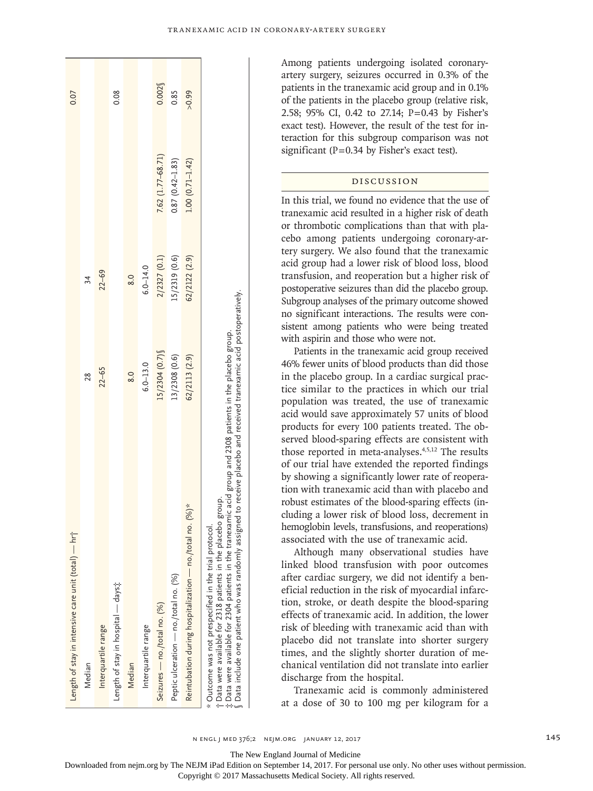| Length of stay in intensive care unit (total) — hri                                                                                                                                                                                                                                                                                                                           |                   |               |                     | 0.07    |
|-------------------------------------------------------------------------------------------------------------------------------------------------------------------------------------------------------------------------------------------------------------------------------------------------------------------------------------------------------------------------------|-------------------|---------------|---------------------|---------|
| Median                                                                                                                                                                                                                                                                                                                                                                        | 28                | 34            |                     |         |
| Interquartile range                                                                                                                                                                                                                                                                                                                                                           | $22 - 65$         | $22 - 69$     |                     |         |
| Length of stay in hospital — days t                                                                                                                                                                                                                                                                                                                                           |                   |               |                     | 0.08    |
| Median                                                                                                                                                                                                                                                                                                                                                                        | 8.0               | 8.0           |                     |         |
| Interquartile range                                                                                                                                                                                                                                                                                                                                                           | $6.0 - 13.0$      | $6.0 - 14.0$  |                     |         |
| Seizures — no./total no. (%)                                                                                                                                                                                                                                                                                                                                                  | $15/2304$ (0.7) § | 2/2327 (0.1)  | 7.62 (1.77-68.71)   | 0.002   |
| Peptic ulceration - no./total no. (%)                                                                                                                                                                                                                                                                                                                                         | 13/2308(0.6)      | 5/2319 (0.6)  | $0.87(0.42 - 1.83)$ | 0.85    |
| Reintubation during hospitalization — no./total no. (%)*                                                                                                                                                                                                                                                                                                                      | 62/2113 (2.9)     | 62/2122 (2.9) | $1.00(0.71 - 1.42)$ | $-0.99$ |
| $\S$ Data include one patient who was randomly assigned to receive placebo and received tranexamic acid postoperatively<br>$\ddagger$ Data were available for 2304 patients in the tranexamic acid group and 2308 patients in the placebo group.<br>group.<br>* Outcome was not prespecified in the trial protocol.<br>t Data were available for 2318 patients in the placebo |                   |               |                     |         |

Among patients undergoing isolated coronaryartery surgery, seizures occurred in 0.3% of the patients in the tranexamic acid group and in 0.1% of the patients in the placebo group (relative risk, 2.58; 95% CI, 0.42 to 27.14; P =0.43 by Fisher's exact test). However, the result of the test for in -

# Discussion

teraction for this subgroup comparison was not

significant (P=0.34 by Fisher's exact test).

In this trial, we found no evidence that the use of tranexamic acid resulted in a higher risk of death or thrombotic complications than that with pla cebo among patients undergoing coronary-ar tery surgery. We also found that the tranexamic acid group had a lower risk of blood loss, blood transfusion, and reoperation but a higher risk of postoperative seizures than did the placebo group. Subgroup analyses of the primary outcome showed no significant interactions. The results were con sistent among patients who were being treated with aspirin and those who were not.

Patients in the tranexamic acid group received 46% fewer units of blood products than did those in the placebo group. In a cardiac surgical prac tice similar to the practices in which our trial population was treated, the use of tranexamic acid would save approximately 57 units of blood products for every 100 patients treated. The ob served blood-sparing effects are consistent with those reported in meta-analyses.<sup>4,5,12</sup> The results of our trial have extended the reported findings by showing a significantly lower rate of reopera tion with tranexamic acid than with placebo and robust estimates of the blood-sparing effects (in cluding a lower risk of blood loss, decrement in hemoglobin levels, transfusions, and reoperations) associated with the use of tranexamic acid.

Although many observational studies have linked blood transfusion with poor outcomes after cardiac surgery, we did not identify a ben eficial reduction in the risk of myocardial infarc tion, stroke, or death despite the blood-sparing effects of tranexamic acid. In addition, the lower risk of bleeding with tranexamic acid than with placebo did not translate into shorter surgery times, and the slightly shorter duration of me chanical ventilation did not translate into earlier discharge from the hospital.

Tranexamic acid is commonly administered at a dose of 30 to 100 mg per kilogram for a

n engl j med 376;2 nejm.org January 12, 2017 145

The New England Journal of Medicine

Downloaded from nejm.org by The NEJM iPad Edition on September 14, 2017. For personal use only. No other uses without permission.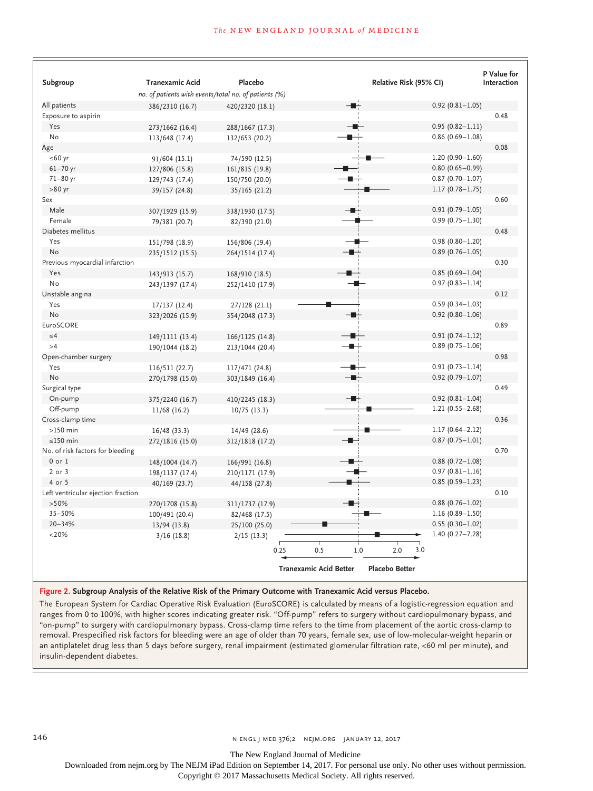#### **The NEW ENGLAND JOURNAL of MEDICINE**

| Subgroup                           | <b>Tranexamic Acid</b>                                | Placebo         |                               |     | Relative Risk (95% CI) |                     | P Value for<br>Interaction |
|------------------------------------|-------------------------------------------------------|-----------------|-------------------------------|-----|------------------------|---------------------|----------------------------|
|                                    | no. of patients with events/total no. of patients (%) |                 |                               |     |                        |                     |                            |
| All patients                       | 386/2310 (16.7)                                       | 420/2320 (18.1) |                               |     |                        | $0.92(0.81 - 1.05)$ |                            |
| Exposure to aspirin                |                                                       |                 |                               |     |                        |                     | 0.48                       |
| Yes                                | 273/1662 (16.4)                                       | 288/1667 (17.3) |                               |     |                        | $0.95(0.82 - 1.11)$ |                            |
| No                                 | 113/648 (17.4)                                        | 132/653 (20.2)  |                               |     |                        | $0.86(0.69 - 1.08)$ |                            |
| Age                                |                                                       |                 |                               |     |                        |                     | 0.08                       |
| $≤ 60 yr$                          | 91/604 (15.1)                                         | 74/590 (12.5)   |                               |     |                        | $1.20(0.90 - 1.60)$ |                            |
| $61 - 70$ yr                       | 127/806 (15.8)                                        | 161/815 (19.8)  |                               |     |                        | $0.80(0.65 - 0.99)$ |                            |
| 71-80 yr                           | 129/743 (17.4)                                        | 150/750 (20.0)  |                               |     |                        | $0.87(0.70 - 1.07)$ |                            |
| $>80$ yr                           | 39/157 (24.8)                                         | 35/165 (21.2)   |                               |     |                        | $1.17(0.78 - 1.75)$ |                            |
| Sex                                |                                                       |                 |                               |     |                        |                     | 0.60                       |
| Male                               | 307/1929 (15.9)                                       | 338/1930 (17.5) |                               |     |                        | $0.91(0.79 - 1.05)$ |                            |
| Female                             | 79/381 (20.7)                                         | 82/390 (21.0)   |                               |     |                        | $0.99(0.75 - 1.30)$ |                            |
| Diabetes mellitus                  |                                                       |                 |                               |     |                        |                     | 0.48                       |
| Yes                                | 151/798 (18.9)                                        | 156/806 (19.4)  |                               |     |                        | $0.98(0.80 - 1.20)$ |                            |
| No                                 | 235/1512 (15.5)                                       | 264/1514 (17.4) |                               |     |                        | $0.89(0.76 - 1.05)$ |                            |
| Previous myocardial infarction     |                                                       |                 |                               |     |                        |                     | 0.30                       |
| Yes                                | 143/913 (15.7)                                        | 168/910 (18.5)  |                               |     |                        | $0.85(0.69 - 1.04)$ |                            |
| No                                 | 243/1397 (17.4)                                       | 252/1410 (17.9) |                               |     |                        | $0.97(0.83 - 1.14)$ |                            |
| Unstable angina                    |                                                       |                 |                               |     |                        |                     | 0.12                       |
| Yes                                | 17/137(12.4)                                          | 27/128 (21.1)   |                               |     |                        | $0.59(0.34 - 1.03)$ |                            |
| No                                 | 323/2026 (15.9)                                       | 354/2048 (17.3) |                               |     |                        | $0.92(0.80 - 1.06)$ |                            |
| EuroSCORE                          |                                                       |                 |                               |     |                        |                     | 0.89                       |
| $\leq 4$                           | 149/1111 (13.4)                                       | 166/1125 (14.8) |                               |     |                        | $0.91(0.74 - 1.12)$ |                            |
| >4                                 | 190/1044 (18.2)                                       | 213/1044 (20.4) |                               |     |                        | $0.89(0.75 - 1.06)$ |                            |
| Open-chamber surgery               |                                                       |                 |                               |     |                        |                     | 0.98                       |
| Yes                                | 116/511 (22.7)                                        | 117/471 (24.8)  |                               |     |                        | $0.91(0.73 - 1.14)$ |                            |
| No                                 | 270/1798 (15.0)                                       | 303/1849 (16.4) |                               |     |                        | $0.92$ (0.79-1.07)  |                            |
| Surgical type                      |                                                       |                 |                               |     |                        |                     | 0.49                       |
| On-pump                            | 375/2240 (16.7)                                       | 410/2245 (18.3) |                               |     |                        | $0.92(0.81 - 1.04)$ |                            |
| Off-pump                           | 11/68 (16.2)                                          | 10/75(13.3)     |                               |     |                        | $1.21(0.55 - 2.68)$ |                            |
| Cross-clamp time                   |                                                       |                 |                               |     |                        |                     | 0.36                       |
| $>150$ min                         | 16/48 (33.3)                                          | 14/49 (28.6)    |                               |     |                        | $1.17(0.64 - 2.12)$ |                            |
| $\leq$ 150 min                     | 272/1816 (15.0)                                       | 312/1818 (17.2) |                               |     |                        | $0.87(0.75 - 1.01)$ |                            |
| No. of risk factors for bleeding   |                                                       |                 |                               |     |                        |                     | 0.70                       |
| $0$ or $1$                         | 148/1004 (14.7)                                       | 166/991 (16.8)  |                               |     |                        | $0.88(0.72 - 1.08)$ |                            |
| $2$ or $3$                         | 198/1137 (17.4)                                       | 210/1171 (17.9) |                               |     |                        | $0.97(0.81 - 1.16)$ |                            |
| 4 or 5                             | 40/169 (23.7)                                         | 44/158 (27.8)   |                               |     |                        | $0.85(0.59 - 1.23)$ |                            |
| Left ventricular ejection fraction |                                                       |                 |                               |     |                        |                     | 0.10                       |
| >50%                               | 270/1708 (15.8)                                       | 311/1737 (17.9) |                               |     |                        | $0.88(0.76 - 1.02)$ |                            |
| $35 - 50%$                         | 100/491 (20.4)                                        | 82/468 (17.5)   |                               |     |                        | $1.16(0.89 - 1.50)$ |                            |
| $20 - 34%$                         | 13/94 (13.8)                                          | 25/100 (25.0)   |                               |     |                        | $0.55(0.30 - 1.02)$ |                            |
| $<$ 20%                            | 3/16(18.8)                                            | 2/15(13.3)      |                               |     |                        | $1.40(0.27 - 7.28)$ |                            |
|                                    |                                                       |                 |                               |     | 3.0                    |                     |                            |
|                                    |                                                       | 0.25            | 0.5                           | 1.0 | 2.0                    |                     |                            |
|                                    |                                                       |                 | <b>Tranexamic Acid Better</b> |     | <b>Placebo Better</b>  |                     |                            |

**Figure 2. Subgroup Analysis of the Relative Risk of the Primary Outcome with Tranexamic Acid versus Placebo.**

The European System for Cardiac Operative Risk Evaluation (EuroSCORE) is calculated by means of a logistic-regression equation and ranges from 0 to 100%, with higher scores indicating greater risk. "Off-pump" refers to surgery without cardiopulmonary bypass, and "on-pump" to surgery with cardiopulmonary bypass. Cross-clamp time refers to the time from placement of the aortic cross-clamp to removal. Prespecified risk factors for bleeding were an age of older than 70 years, female sex, use of low-molecular-weight heparin or an antiplatelet drug less than 5 days before surgery, renal impairment (estimated glomerular filtration rate, <60 ml per minute), and insulin-dependent diabetes.

The New England Journal of Medicine

Downloaded from nejm.org by The NEJM iPad Edition on September 14, 2017. For personal use only. No other uses without permission.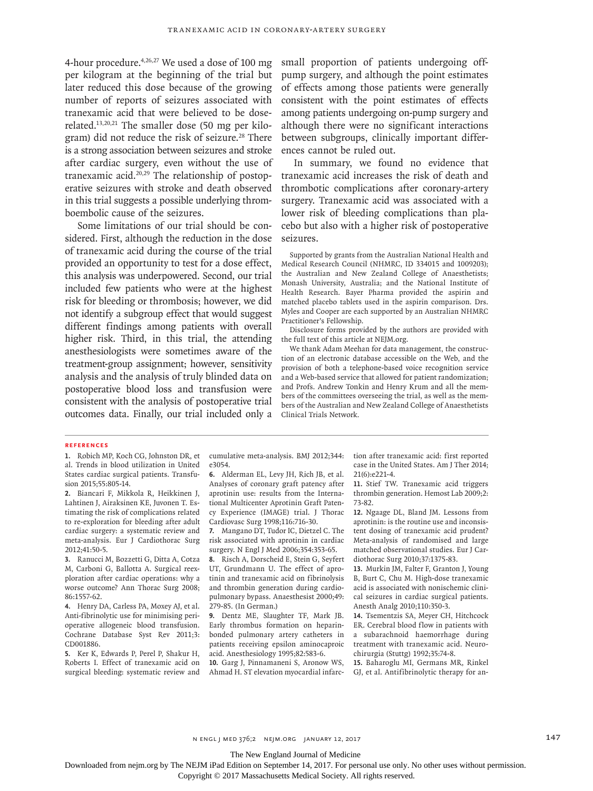4-hour procedure.<sup>4,26,27</sup> We used a dose of 100 mg per kilogram at the beginning of the trial but later reduced this dose because of the growing number of reports of seizures associated with tranexamic acid that were believed to be doserelated.13,20,21 The smaller dose (50 mg per kilogram) did not reduce the risk of seizure.<sup>28</sup> There is a strong association between seizures and stroke after cardiac surgery, even without the use of tranexamic acid.20,29 The relationship of postoperative seizures with stroke and death observed in this trial suggests a possible underlying thromboembolic cause of the seizures.

Some limitations of our trial should be considered. First, although the reduction in the dose of tranexamic acid during the course of the trial provided an opportunity to test for a dose effect, this analysis was underpowered. Second, our trial included few patients who were at the highest risk for bleeding or thrombosis; however, we did not identify a subgroup effect that would suggest different findings among patients with overall higher risk. Third, in this trial, the attending anesthesiologists were sometimes aware of the treatment-group assignment; however, sensitivity analysis and the analysis of truly blinded data on postoperative blood loss and transfusion were consistent with the analysis of postoperative trial outcomes data. Finally, our trial included only a

small proportion of patients undergoing offpump surgery, and although the point estimates of effects among those patients were generally consistent with the point estimates of effects among patients undergoing on-pump surgery and although there were no significant interactions between subgroups, clinically important differences cannot be ruled out.

In summary, we found no evidence that tranexamic acid increases the risk of death and thrombotic complications after coronary-artery surgery. Tranexamic acid was associated with a lower risk of bleeding complications than placebo but also with a higher risk of postoperative seizures.

Supported by grants from the Australian National Health and Medical Research Council (NHMRC, ID 334015 and 1009203); the Australian and New Zealand College of Anaesthetists; Monash University, Australia; and the National Institute of Health Research. Bayer Pharma provided the aspirin and matched placebo tablets used in the aspirin comparison. Drs. Myles and Cooper are each supported by an Australian NHMRC Practitioner's Fellowship.

Disclosure forms provided by the authors are provided with the full text of this article at NEJM.org.

We thank Adam Meehan for data management, the construction of an electronic database accessible on the Web, and the provision of both a telephone-based voice recognition service and a Web-based service that allowed for patient randomization; and Profs. Andrew Tonkin and Henry Krum and all the members of the committees overseeing the trial, as well as the members of the Australian and New Zealand College of Anaesthetists Clinical Trials Network.

#### **References**

**1.** Robich MP, Koch CG, Johnston DR, et al. Trends in blood utilization in United States cardiac surgical patients. Transfusion 2015;55:805-14.

**2.** Biancari F, Mikkola R, Heikkinen J, Lahtinen J, Airaksinen KE, Juvonen T. Estimating the risk of complications related to re-exploration for bleeding after adult cardiac surgery: a systematic review and meta-analysis. Eur J Cardiothorac Surg 2012;41:50-5.

**3.** Ranucci M, Bozzetti G, Ditta A, Cotza M, Carboni G, Ballotta A. Surgical reexploration after cardiac operations: why a worse outcome? Ann Thorac Surg 2008; 86:1557-62.

**4.** Henry DA, Carless PA, Moxey AJ, et al. Anti-fibrinolytic use for minimising perioperative allogeneic blood transfusion. Cochrane Database Syst Rev 2011;3: CD001886.

**5.** Ker K, Edwards P, Perel P, Shakur H, Roberts I. Effect of tranexamic acid on surgical bleeding: systematic review and cumulative meta-analysis. BMJ 2012;344: e3054.

**6.** Alderman EL, Levy JH, Rich JB, et al. Analyses of coronary graft patency after aprotinin use: results from the International Multicenter Aprotinin Graft Patency Experience (IMAGE) trial. J Thorac Cardiovasc Surg 1998;116:716-30.

**7.** Mangano DT, Tudor IC, Dietzel C. The risk associated with aprotinin in cardiac surgery. N Engl J Med 2006;354:353-65.

**8.** Risch A, Dorscheid E, Stein G, Seyfert UT, Grundmann U. The effect of aprotinin and tranexamic acid on fibrinolysis and thrombin generation during cardiopulmonary bypass. Anaesthesist 2000;49: 279-85. (In German.)

**9.** Dentz ME, Slaughter TF, Mark JB. Early thrombus formation on heparinbonded pulmonary artery catheters in patients receiving epsilon aminocaproic acid. Anesthesiology 1995;82:583-6.

**10.** Garg J, Pinnamaneni S, Aronow WS, Ahmad H. ST elevation myocardial infarction after tranexamic acid: first reported case in the United States. Am J Ther 2014; 21(6):e221-4.

**11.** Stief TW. Tranexamic acid triggers thrombin generation. Hemost Lab 2009;2: 73-82.

**12.** Ngaage DL, Bland JM. Lessons from aprotinin: is the routine use and inconsistent dosing of tranexamic acid prudent? Meta-analysis of randomised and large matched observational studies. Eur J Cardiothorac Surg 2010;37:1375-83.

**13.** Murkin JM, Falter F, Granton J, Young B, Burt C, Chu M. High-dose tranexamic acid is associated with nonischemic clinical seizures in cardiac surgical patients. Anesth Analg 2010;110:350-3.

**14.** Tsementzis SA, Meyer CH, Hitchcock ER. Cerebral blood flow in patients with a subarachnoid haemorrhage during treatment with tranexamic acid. Neurochirurgia (Stuttg) 1992;35:74-8.

**15.** Baharoglu MI, Germans MR, Rinkel GJ, et al. Antifibrinolytic therapy for an-

n engl j med 376;2 nejm.org January 12, 2017 147

The New England Journal of Medicine

Downloaded from nejm.org by The NEJM iPad Edition on September 14, 2017. For personal use only. No other uses without permission.